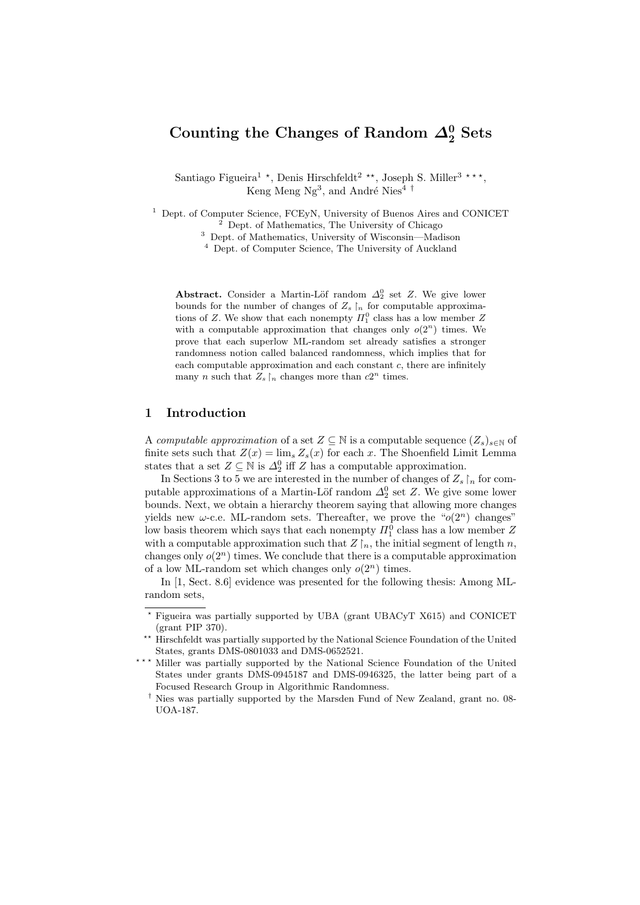# Counting the Changes of Random  $\Delta_2^0$  Sets

Santiago Figueira<sup>1</sup><sup>\*</sup>, Denis Hirschfeldt<sup>2</sup><sup>\*\*</sup>, Joseph S. Miller<sup>3</sup><sup>\*\*\*</sup>, Keng Meng Ng<sup>3</sup>, and André Nies<sup>4 †</sup>

<sup>1</sup> Dept. of Computer Science, FCEyN, University of Buenos Aires and CONICET  $^2$  Dept. of Mathematics, The University of Chicago

<sup>3</sup> Dept. of Mathematics, University of Wisconsin—Madison

<sup>4</sup> Dept. of Computer Science, The University of Auckland

Abstract. Consider a Martin-Löf random  $\Delta_2^0$  set Z. We give lower bounds for the number of changes of  $Z_s \upharpoonright_n$  for computable approximations of Z. We show that each nonempty  $\Pi_1^0$  class has a low member Z with a computable approximation that changes only  $o(2^n)$  times. We prove that each superlow ML-random set already satisfies a stronger randomness notion called balanced randomness, which implies that for each computable approximation and each constant  $c$ , there are infinitely many *n* such that  $Z_s \upharpoonright_n$  changes more than  $c2^n$  times.

#### 1 Introduction

A computable approximation of a set  $Z \subseteq \mathbb{N}$  is a computable sequence  $(Z_s)_{s \in \mathbb{N}}$  of finite sets such that  $Z(x) = \lim_{s} Z_s(x)$  for each x. The Shoenfield Limit Lemma states that a set  $Z \subseteq \mathbb{N}$  is  $\Delta_2^0$  iff Z has a computable approximation.

In Sections 3 to 5 we are interested in the number of changes of  $Z_s$   $\upharpoonright_n$  for computable approximations of a Martin-Löf random  $\Delta_2^0$  set Z. We give some lower bounds. Next, we obtain a hierarchy theorem saying that allowing more changes yields new  $\omega$ -c.e. ML-random sets. Thereafter, we prove the " $o(2^n)$  changes" low basis theorem which says that each nonempty  $\Pi_1^0$  class has a low member  $Z$ with a computable approximation such that  $Z \upharpoonright_n$ , the initial segment of length n, changes only  $o(2^n)$  times. We conclude that there is a computable approximation of a low ML-random set which changes only  $o(2^n)$  times.

In [1, Sect. 8.6] evidence was presented for the following thesis: Among MLrandom sets,

<sup>?</sup> Figueira was partially supported by UBA (grant UBACyT X615) and CONICET (grant PIP 370).

<sup>\*\*</sup> Hirschfeldt was partially supported by the National Science Foundation of the United States, grants DMS-0801033 and DMS-0652521.

<sup>\*\*\*</sup> Miller was partially supported by the National Science Foundation of the United States under grants DMS-0945187 and DMS-0946325, the latter being part of a Focused Research Group in Algorithmic Randomness.

<sup>†</sup> Nies was partially supported by the Marsden Fund of New Zealand, grant no. 08- UOA-187.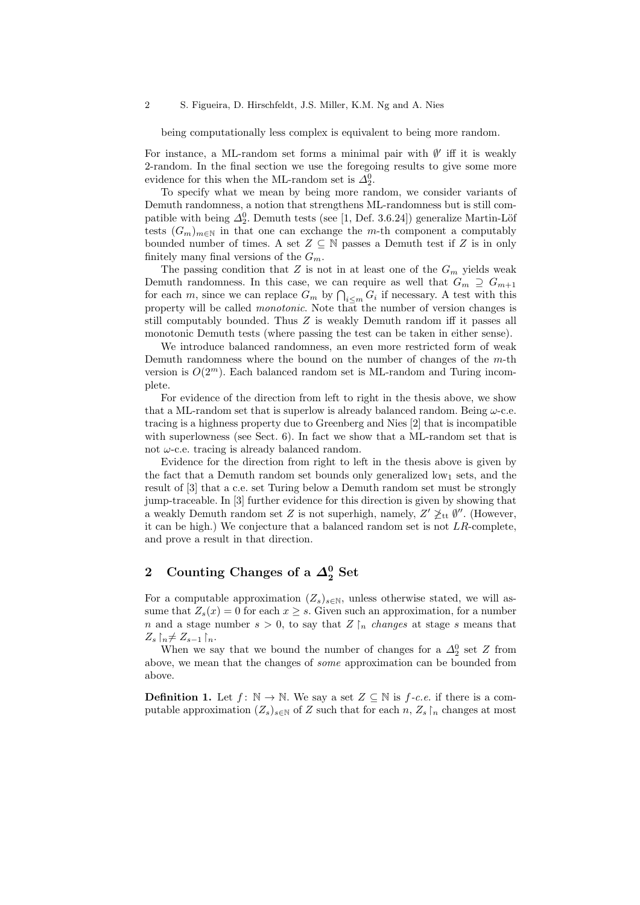being computationally less complex is equivalent to being more random.

For instance, a ML-random set forms a minimal pair with  $\emptyset'$  iff it is weakly 2-random. In the final section we use the foregoing results to give some more evidence for this when the ML-random set is  $\Delta_2^0$ .

To specify what we mean by being more random, we consider variants of Demuth randomness, a notion that strengthens ML-randomness but is still compatible with being  $\Delta_2^0$ . Demuth tests (see [1, Def. 3.6.24]) generalize Martin-Löf tests  $(G_m)_{m\in\mathbb{N}}$  in that one can exchange the m-th component a computably bounded number of times. A set  $Z \subseteq \mathbb{N}$  passes a Demuth test if Z is in only finitely many final versions of the  $G_m$ .

The passing condition that Z is not in at least one of the  $G_m$  yields weak Demuth randomness. In this case, we can require as well that  $G_m \supseteq G_{m+1}$ for each m, since we can replace  $G_m$  by  $\bigcap_{i\leq m} G_i$  if necessary. A test with this property will be called monotonic. Note that the number of version changes is still computably bounded. Thus Z is weakly Demuth random iff it passes all monotonic Demuth tests (where passing the test can be taken in either sense).

We introduce balanced randomness, an even more restricted form of weak Demuth randomness where the bound on the number of changes of the  $m$ -th version is  $O(2^m)$ . Each balanced random set is ML-random and Turing incomplete.

For evidence of the direction from left to right in the thesis above, we show that a ML-random set that is superlow is already balanced random. Being  $\omega$ -c.e. tracing is a highness property due to Greenberg and Nies [2] that is incompatible with superlowness (see Sect. 6). In fact we show that a ML-random set that is not  $\omega$ -c.e. tracing is already balanced random.

Evidence for the direction from right to left in the thesis above is given by the fact that a Demuth random set bounds only generalized low<sub>1</sub> sets, and the result of [3] that a c.e. set Turing below a Demuth random set must be strongly jump-traceable. In [3] further evidence for this direction is given by showing that a weakly Demuth random set Z is not superhigh, namely,  $Z' \not\geq_{\text{tt}} \emptyset''$ . (However, it can be high.) We conjecture that a balanced random set is not  $LR$ -complete, and prove a result in that direction.

# 2 Counting Changes of a  $\varDelta^0_2$  Set

For a computable approximation  $(Z_s)_{s\in\mathbb{N}}$ , unless otherwise stated, we will assume that  $Z_s(x) = 0$  for each  $x \geq s$ . Given such an approximation, for a number n and a stage number  $s > 0$ , to say that  $Z \upharpoonright_n$  changes at stage s means that  $Z_s \upharpoonright_n \neq Z_{s-1} \upharpoonright_n$ .

When we say that we bound the number of changes for a  $\Delta_2^0$  set Z from above, we mean that the changes of some approximation can be bounded from above.

**Definition 1.** Let  $f: \mathbb{N} \to \mathbb{N}$ . We say a set  $Z \subseteq \mathbb{N}$  is  $f \text{-}c.e.$  if there is a computable approximation  $(Z_s)_{s\in\mathbb{N}}$  of Z such that for each n,  $Z_s$   $\upharpoonright_n$  changes at most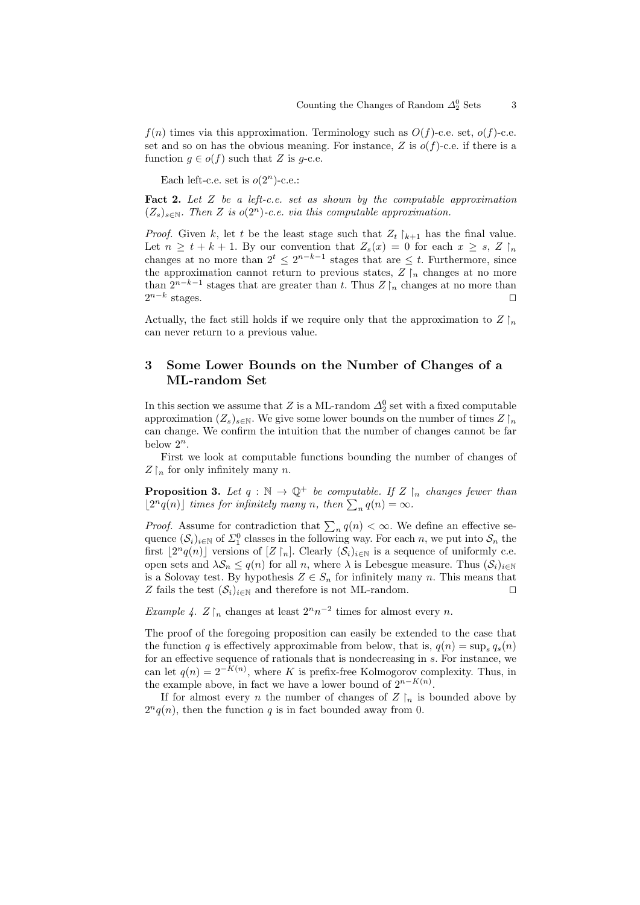$f(n)$  times via this approximation. Terminology such as  $O(f)$ -c.e. set,  $o(f)$ -c.e. set and so on has the obvious meaning. For instance, Z is  $o(f)$ -c.e. if there is a function  $g \in o(f)$  such that Z is g-c.e.

Each left-c.e. set is  $o(2<sup>n</sup>)$ -c.e.:

**Fact 2.** Let  $Z$  be a left-c.e. set as shown by the computable approximation  $(Z_s)_{s \in \mathbb{N}}$ . Then Z is  $o(2^n)$ -c.e. via this computable approximation.

*Proof.* Given k, let t be the least stage such that  $Z_t$   $\vert_{k+1}$  has the final value. Let  $n \geq t + k + 1$ . By our convention that  $Z_s(x) = 0$  for each  $x \geq s$ ,  $Z \upharpoonright_n$ changes at no more than  $2^t \leq 2^{n-k-1}$  stages that are  $\leq t$ . Furthermore, since the approximation cannot return to previous states,  $Z \upharpoonright_n$  changes at no more than  $2^{n-k-1}$  stages that are greater than t. Thus  $Z\upharpoonright_n$  changes at no more than  $2^{n-k}$ stages.  $\square$ 

Actually, the fact still holds if we require only that the approximation to  $Z \upharpoonright_n$ can never return to a previous value.

### 3 Some Lower Bounds on the Number of Changes of a ML-random Set

In this section we assume that Z is a ML-random  $\Delta_2^0$  set with a fixed computable approximation  $(Z_s)_{s\in\mathbb{N}}$ . We give some lower bounds on the number of times  $Z\upharpoonright_n$ can change. We confirm the intuition that the number of changes cannot be far below  $2^n$ .

First we look at computable functions bounding the number of changes of  $Z \upharpoonright_n$  for only infinitely many n.

**Proposition 3.** Let  $q : \mathbb{N} \to \mathbb{Q}^+$  be computable. If  $Z \upharpoonright_n$  changes fewer than  $\lfloor 2^n q(n) \rfloor$  times for infinitely many n, then  $\sum_n q(n) = \infty$ .

*Proof.* Assume for contradiction that  $\sum_{n} q(n) < \infty$ . We define an effective sequence  $(S_i)_{i\in\mathbb{N}}$  of  $\Sigma_1^0$  classes in the following way. For each n, we put into  $S_n$  the first  $\lfloor 2^n q(n) \rfloor$  versions of  $[Z \upharpoonright_n]$ . Clearly  $(\mathcal{S}_i)_{i \in \mathbb{N}}$  is a sequence of uniformly c.e. open sets and  $\lambda \mathcal{S}_n \leq q(n)$  for all n, where  $\lambda$  is Lebesgue measure. Thus  $(\mathcal{S}_i)_{i\in\mathbb{N}}$ is a Solovay test. By hypothesis  $Z \in S_n$  for infinitely many n. This means that Z fails the test  $(\mathcal{S}_i)_{i\in\mathbb{N}}$  and therefore is not ML-random.

Example 4.  $Z \upharpoonright_n$  changes at least  $2^n n^{-2}$  times for almost every n.

The proof of the foregoing proposition can easily be extended to the case that the function q is effectively approximable from below, that is,  $q(n) = \sup_s q_s(n)$ for an effective sequence of rationals that is nondecreasing in s. For instance, we can let  $q(n) = 2^{-K(n)}$ , where K is prefix-free Kolmogorov complexity. Thus, in the example above, in fact we have a lower bound of  $2^{n-K(n)}$ .

If for almost every *n* the number of changes of  $Z \rvert_n$  is bounded above by  $2^n q(n)$ , then the function q is in fact bounded away from 0.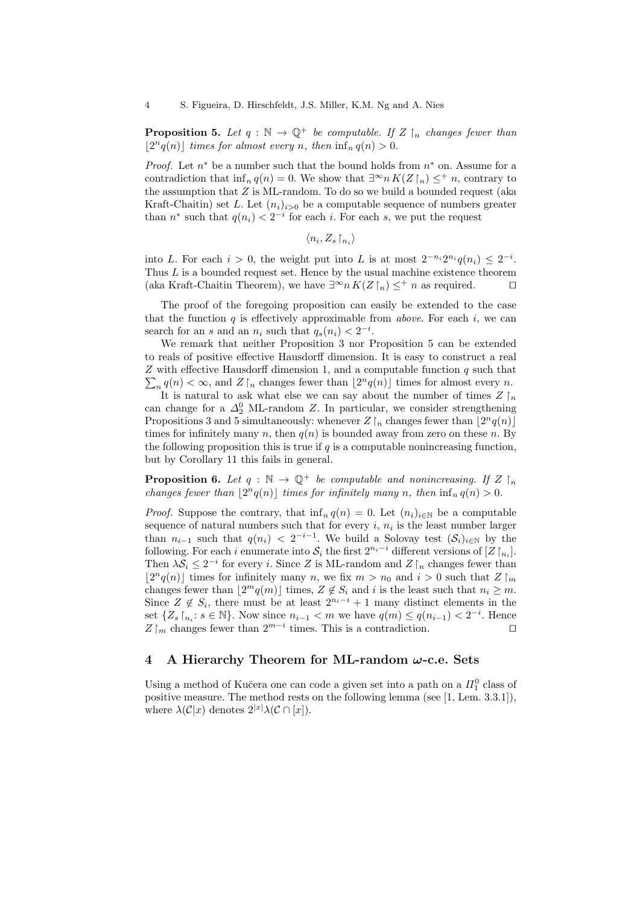**Proposition 5.** Let  $q : \mathbb{N} \to \mathbb{Q}^+$  be computable. If  $Z \upharpoonright_n$  changes fewer than  $\lfloor 2^n q(n) \rfloor$  times for almost every n, then  $\inf_n q(n) > 0$ .

*Proof.* Let  $n^*$  be a number such that the bound holds from  $n^*$  on. Assume for a contradiction that inf<sub>n</sub>  $q(n) = 0$ . We show that  $\exists^{\infty} n K(Z \restriction_n) \leq^+ n$ , contrary to the assumption that  $Z$  is ML-random. To do so we build a bounded request (aka Kraft-Chaitin) set L. Let  $(n_i)_{i>0}$  be a computable sequence of numbers greater than  $n^*$  such that  $q(n_i) < 2^{-i}$  for each i. For each s, we put the request

$$
\langle n_i, Z_s \!\upharpoonright_{n_i} \rangle
$$

into L. For each  $i > 0$ , the weight put into L is at most  $2^{-n_i}2^{n_i}q(n_i) \leq 2^{-i}$ . Thus  $L$  is a bounded request set. Hence by the usual machine existence theorem (aka Kraft-Chaitin Theorem), we have  $\exists^{\infty} n K(Z \upharpoonright_n) \leq^+ n$  as required.  $\square$ 

The proof of the foregoing proposition can easily be extended to the case that the function  $q$  is effectively approximable from *above*. For each  $i$ , we can search for an s and an  $n_i$  such that  $q_s(n_i) < 2^{-i}$ .

We remark that neither Proposition 3 nor Proposition 5 can be extended to reals of positive effective Hausdorff dimension. It is easy to construct a real  $\sum_{n} q(n) < \infty$ , and  $Z \upharpoonright_n$  changes fewer than  $\lfloor 2^n q(n) \rfloor$  times for almost every n.  $Z$  with effective Hausdorff dimension 1, and a computable function  $q$  such that It is natural to ask what else we can say about the number of times  $Z \upharpoonright_n$ can change for a  $\Delta_2^0$  ML-random Z. In particular, we consider strengthening Propositions 3 and 5 simultaneously: whenever  $Z\lfloor_n$  changes fewer than  $\lfloor 2^n q(n)\rfloor$ times for infinitely many n, then  $q(n)$  is bounded away from zero on these n. By the following proposition this is true if  $q$  is a computable nonincreasing function, but by Corollary 11 this fails in general.

**Proposition 6.** Let  $q : \mathbb{N} \to \mathbb{Q}^+$  be computable and nonincreasing. If  $Z \upharpoonright_n$ changes fewer than  $\lfloor 2^n q(n) \rfloor$  times for infinitely many n, then  $\inf_n q(n) > 0$ .

*Proof.* Suppose the contrary, that  $\inf_n q(n) = 0$ . Let  $(n_i)_{i \in \mathbb{N}}$  be a computable sequence of natural numbers such that for every  $i, n_i$  is the least number larger than  $n_{i-1}$  such that  $q(n_i) < 2^{-i-1}$ . We build a Solovay test  $(\mathcal{S}_i)_{i\in\mathbb{N}}$  by the following. For each i enumerate into  $S_i$  the first  $2^{n_i-i}$  different versions of  $[Z\upharpoonright_{n_i}]$ . Then  $\lambda S_i \leq 2^{-i}$  for every i. Since Z is ML-random and  $Z \upharpoonright_n$  changes fewer than  $\lfloor 2^n q(n) \rfloor$  times for infinitely many n, we fix  $m > n_0$  and  $i > 0$  such that  $Z \rceil_m$ changes fewer than  $\lfloor 2^m q(m) \rfloor$  times,  $Z \notin S_i$  and i is the least such that  $n_i \geq m$ . Since  $Z \notin S_i$ , there must be at least  $2^{n_i-i} + 1$  many distinct elements in the set  $\{Z_s \mid_{n_i}: s \in \mathbb{N}\}\.$  Now since  $n_{i-1} < m$  we have  $q(m) \leq q(n_{i-1}) < 2^{-i}$ . Hence  $Z\upharpoonright_m$  changes fewer than  $2^{m-i}$  times. This is a contradiction.  $□$ 

#### 4 A Hierarchy Theorem for ML-random  $\omega$ -c.e. Sets

Using a method of Kučera one can code a given set into a path on a  $\Pi^0_1$  class of positive measure. The method rests on the following lemma (see [1, Lem. 3.3.1]), where  $\lambda(\mathcal{C}|x)$  denotes  $2^{|x|}\lambda(\mathcal{C}\cap [x]).$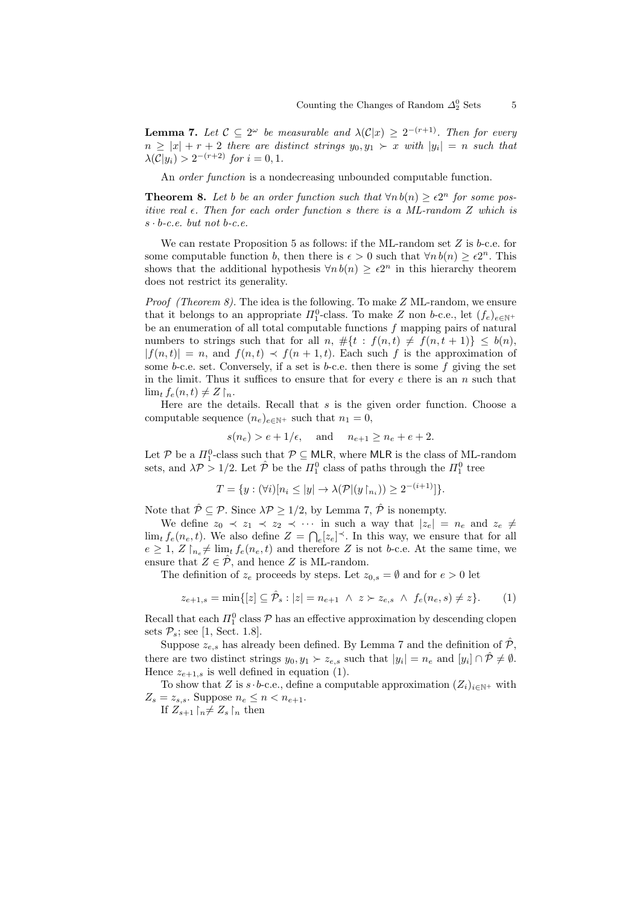**Lemma 7.** Let  $C \subseteq 2^{\omega}$  be measurable and  $\lambda(C|x) \geq 2^{-(r+1)}$ . Then for every  $n \geq |x| + r + 2$  there are distinct strings  $y_0, y_1 \succ x$  with  $|y_i| = n$  such that  $\lambda(\mathcal{C}|y_i) > 2^{-(r+2)}$  for  $i = 0, 1$ .

An *order function* is a nondecreasing unbounded computable function.

**Theorem 8.** Let b be an order function such that  $\forall n b(n) \ge \epsilon 2^n$  for some positive real  $\epsilon$ . Then for each order function s there is a ML-random Z which is  $s \cdot b$ -c.e. but not b-c.e.

We can restate Proposition 5 as follows: if the ML-random set  $Z$  is b-c.e. for some computable function b, then there is  $\epsilon > 0$  such that  $\forall n b(n) \geq \epsilon 2^n$ . This shows that the additional hypothesis  $\forall n b(n) \geq \epsilon 2^n$  in this hierarchy theorem does not restrict its generality.

*Proof (Theorem 8).* The idea is the following. To make  $Z$  ML-random, we ensure that it belongs to an appropriate  $\Pi_1^0$ -class. To make Z non b-c.e., let  $(f_e)_{e \in \mathbb{N}^+}$ be an enumeration of all total computable functions  $f$  mapping pairs of natural numbers to strings such that for all n,  $\#\{t : f(n,t) \neq f(n,t+1)\} \leq b(n)$ ,  $|f(n, t)| = n$ , and  $f(n, t) \prec f(n + 1, t)$ . Each such f is the approximation of some b-c.e. set. Conversely, if a set is b-c.e. then there is some  $f$  giving the set in the limit. Thus it suffices to ensure that for every  $e$  there is an  $n$  such that  $\lim_{t} f_e(n,t) \neq Z \upharpoonright_n.$ 

Here are the details. Recall that  $s$  is the given order function. Choose a computable sequence  $(n_e)_{e \in \mathbb{N}^+}$  such that  $n_1 = 0$ ,

$$
s(n_e) > e + 1/\epsilon
$$
, and  $n_{e+1} \ge n_e + e + 2$ .

Let P be a  $\Pi_1^0$ -class such that  $P \subseteq MLR$ , where MLR is the class of ML-random sets, and  $\lambda \mathcal{P} > 1/2$ . Let  $\hat{\mathcal{P}}$  be the  $\Pi_1^0$  class of paths through the  $\Pi_1^0$  tree

$$
T = \{ y : (\forall i) [n_i \le |y| \to \lambda(\mathcal{P} | (y \upharpoonright_{n_i})) \ge 2^{-(i+1)}] \}.
$$

Note that  $\hat{\mathcal{P}} \subseteq \mathcal{P}$ . Since  $\lambda \mathcal{P} \geq 1/2$ , by Lemma 7,  $\hat{\mathcal{P}}$  is nonempty.

We define  $z_0 \prec z_1 \prec z_2 \prec \cdots$  in such a way that  $|z_e| = n_e$  and  $z_e \neq$  $\lim_{t} f_e(n_e, t)$ . We also define  $Z = \bigcap_{e} [z_e]^{\prec}$ . In this way, we ensure that for all  $e \geq 1, Z \upharpoonright_{n_e} \neq \lim_{t} f_e(n_e, t)$  and therefore Z is not b-c.e. At the same time, we ensure that  $Z \in \hat{\mathcal{P}}$ , and hence Z is ML-random.

The definition of  $z_e$  proceeds by steps. Let  $z_{0,s} = \emptyset$  and for  $e > 0$  let

$$
z_{e+1,s} = \min\{[z] \subseteq \hat{\mathcal{P}}_s : |z| = n_{e+1} \ \land \ z \succ z_{e,s} \ \land \ f_e(n_e, s) \neq z\}.
$$
 (1)

Recall that each  $\Pi_1^0$  class  $P$  has an effective approximation by descending clopen sets  $\mathcal{P}_s$ ; see [1, Sect. 1.8].

Suppose  $z_{e,s}$  has already been defined. By Lemma 7 and the definition of  $\hat{\mathcal{P}}$ , there are two distinct strings  $y_0, y_1 \succ z_{e,s}$  such that  $|y_i| = n_e$  and  $[y_i] \cap \hat{P} \neq \emptyset$ . Hence  $z_{e+1,s}$  is well defined in equation (1).

To show that Z is s  $\cdot$  b-c.e., define a computable approximation  $(Z_i)_{i\in\mathbb{N}^+}$  with  $Z_s = z_{s,s}$ . Suppose  $n_e \leq n < n_{e+1}$ .

If  $Z_{s+1} \upharpoonright_n \neq Z_s \upharpoonright_n$  then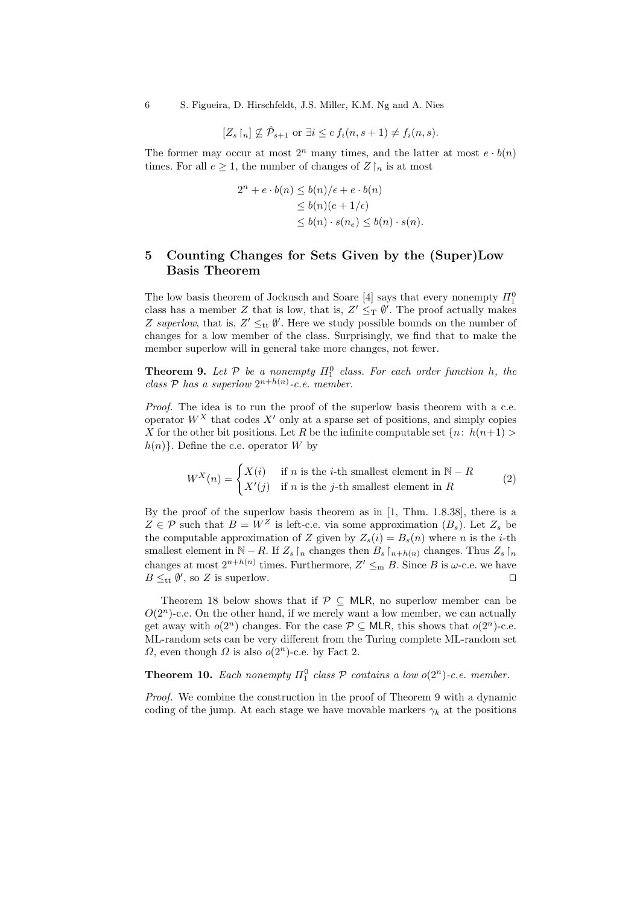6 S. Figueira, D. Hirschfeldt, J.S. Miller, K.M. Ng and A. Nies

$$
[Z_s \upharpoonright_n] \nsubseteq \hat{\mathcal{P}}_{s+1}
$$
 or  $\exists i \leq e f_i(n, s+1) \neq f_i(n, s)$ .

The former may occur at most  $2^n$  many times, and the latter at most  $e \cdot b(n)$ times. For all  $e \geq 1$ , the number of changes of  $Z \upharpoonright_n$  is at most

$$
2^{n} + e \cdot b(n) \leq b(n)/\epsilon + e \cdot b(n)
$$
  
\n
$$
\leq b(n)(e + 1/\epsilon)
$$
  
\n
$$
\leq b(n) \cdot s(n_{e}) \leq b(n) \cdot s(n).
$$

## 5 Counting Changes for Sets Given by the (Super)Low Basis Theorem

The low basis theorem of Jockusch and Soare [4] says that every nonempty  $\Pi^0_1$ class has a member Z that is low, that is,  $Z' \leq_T \emptyset'$ . The proof actually makes Z superlow, that is,  $Z' \leq_{\text{tt}} \emptyset'$ . Here we study possible bounds on the number of changes for a low member of the class. Surprisingly, we find that to make the member superlow will in general take more changes, not fewer.

**Theorem 9.** Let  $P$  be a nonempty  $\Pi_1^0$  class. For each order function h, the class  $P$  has a superlow  $2^{n+h(n)}$ -c.e. member.

Proof. The idea is to run the proof of the superlow basis theorem with a c.e. operator  $W^X$  that codes  $X'$  only at a sparse set of positions, and simply copies X for the other bit positions. Let R be the infinite computable set  $\{n: h(n+1) > \}$  $h(n)$ . Define the c.e. operator W by

$$
W^X(n) = \begin{cases} X(i) & \text{if } n \text{ is the } i\text{-th smallest element in } \mathbb{N} - R \\ X'(j) & \text{if } n \text{ is the } j\text{-th smallest element in } R \end{cases}
$$
 (2)

By the proof of the superlow basis theorem as in [1, Thm. 1.8.38], there is a  $Z \in \mathcal{P}$  such that  $B = W^Z$  is left-c.e. via some approximation  $(B_s)$ . Let  $Z_s$  be the computable approximation of Z given by  $Z_s(i) = B_s(n)$  where n is the *i*-th smallest element in N − R. If  $Z_s \upharpoonright_n$  changes then  $B_s \upharpoonright_{n+h(n)}$  changes. Thus  $Z_s \upharpoonright_n$ changes at most  $2^{n+h(n)}$  times. Furthermore,  $Z' \leq_m B$ . Since B is  $\omega$ -c.e. we have  $B \leq_{tt} \emptyset'$ , so Z is superlow.

Theorem 18 below shows that if  $\mathcal{P} \subseteq \mathsf{MLR}$ , no superlow member can be  $O(2<sup>n</sup>)$ -c.e. On the other hand, if we merely want a low member, we can actually get away with  $o(2^n)$  changes. For the case  $P \subseteq \mathsf{MLR}$ , this shows that  $o(2^n)$ -c.e. ML-random sets can be very different from the Turing complete ML-random set  $\Omega$ , even though  $\Omega$  is also  $o(2^n)$ -c.e. by Fact 2.

# **Theorem 10.** Each nonempty  $\Pi_1^0$  class  $P$  contains a low  $o(2^n)$ -c.e. member.

Proof. We combine the construction in the proof of Theorem 9 with a dynamic coding of the jump. At each stage we have movable markers  $\gamma_k$  at the positions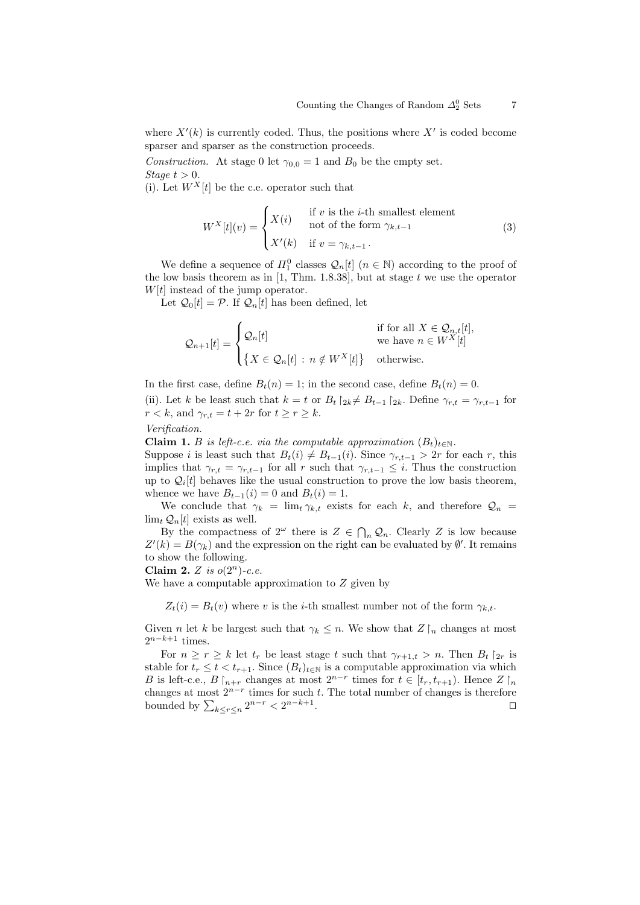where  $X'(k)$  is currently coded. Thus, the positions where  $X'$  is coded become sparser and sparser as the construction proceeds.

Construction. At stage 0 let  $\gamma_{0,0} = 1$  and  $B_0$  be the empty set. Stage  $t > 0$ .

(i). Let  $W^X[t]$  be the c.e. operator such that

$$
W^X[t](v) = \begin{cases} X(i) & \text{if } v \text{ is the } i\text{-th smallest element} \\ \text{not of the form } \gamma_{k,t-1} \\ X'(k) & \text{if } v = \gamma_{k,t-1} . \end{cases}
$$
 (3)

We define a sequence of  $\Pi_1^0$  classes  $\mathcal{Q}_n[t]$   $(n \in \mathbb{N})$  according to the proof of the low basis theorem as in [1, Thm. 1.8.38], but at stage t we use the operator  $W[t]$  instead of the jump operator.

Let  $\mathcal{Q}_0[t] = \mathcal{P}$ . If  $\mathcal{Q}_n[t]$  has been defined, let

$$
\mathcal{Q}_{n+1}[t] = \begin{cases} \mathcal{Q}_n[t] & \text{if for all } X \in \mathcal{Q}_{n,t}[t], \\ \{ X \in \mathcal{Q}_n[t] : n \notin W^X[t] \} & \text{otherwise.} \end{cases}
$$

In the first case, define  $B_t(n) = 1$ ; in the second case, define  $B_t(n) = 0$ .

(ii). Let k be least such that  $k = t$  or  $B_t \upharpoonright_{2k} \neq B_{t-1} \upharpoonright_{2k}$ . Define  $\gamma_{r,t} = \gamma_{r,t-1}$  for  $r < k$ , and  $\gamma_{r,t} = t + 2r$  for  $t \ge r \ge k$ .

Verification.

**Claim 1.** B is left-c.e. via the computable approximation  $(B_t)_{t \in \mathbb{N}}$ .

Suppose *i* is least such that  $B_t(i) \neq B_{t-1}(i)$ . Since  $\gamma_{r,t-1} > 2r$  for each r, this implies that  $\gamma_{r,t} = \gamma_{r,t-1}$  for all r such that  $\gamma_{r,t-1} \leq i$ . Thus the construction up to  $\mathcal{Q}_i[t]$  behaves like the usual construction to prove the low basis theorem, whence we have  $B_{t-1}(i) = 0$  and  $B_t(i) = 1$ .

We conclude that  $\gamma_k = \lim_t \gamma_{k,t}$  exists for each k, and therefore  $\mathcal{Q}_n =$  $\lim_{t} \mathcal{Q}_n[t]$  exists as well.

By the compactness of  $2^{\omega}$  there is  $Z \in \bigcap_n \mathcal{Q}_n$ . Clearly Z is low because  $Z'(k) = B(\gamma_k)$  and the expression on the right can be evaluated by  $\emptyset'$ . It remains to show the following.

Claim 2. Z is  $o(2^n)$ -c.e.

We have a computable approximation to  $Z$  given by

 $Z_t(i) = B_t(v)$  where v is the *i*-th smallest number not of the form  $\gamma_{k,t}$ .

Given *n* let k be largest such that  $\gamma_k \leq n$ . We show that  $Z \upharpoonright_n$  changes at most  $2^{n-k+1}$  times.

For  $n \geq r \geq k$  let  $t_r$  be least stage t such that  $\gamma_{r+1,t} > n$ . Then  $B_t$   $\vert_{2r}$  is stable for  $t_r \leq t < t_{r+1}$ . Since  $(B_t)_{t \in \mathbb{N}}$  is a computable approximation via which B is left-c.e.,  $B \nvert_{n+r}$  changes at most  $2^{n-r}$  times for  $t \in [t_r, t_{r+1})$ . Hence  $Z \nvert_n$ changes at most  $2^{n-r}$  times for such t. The total number of changes is therefore bounded by  $\sum_{k \leq r \leq n} 2^{n-r} < 2^{n-k+1}$ . The contract of the contract of  $\Box$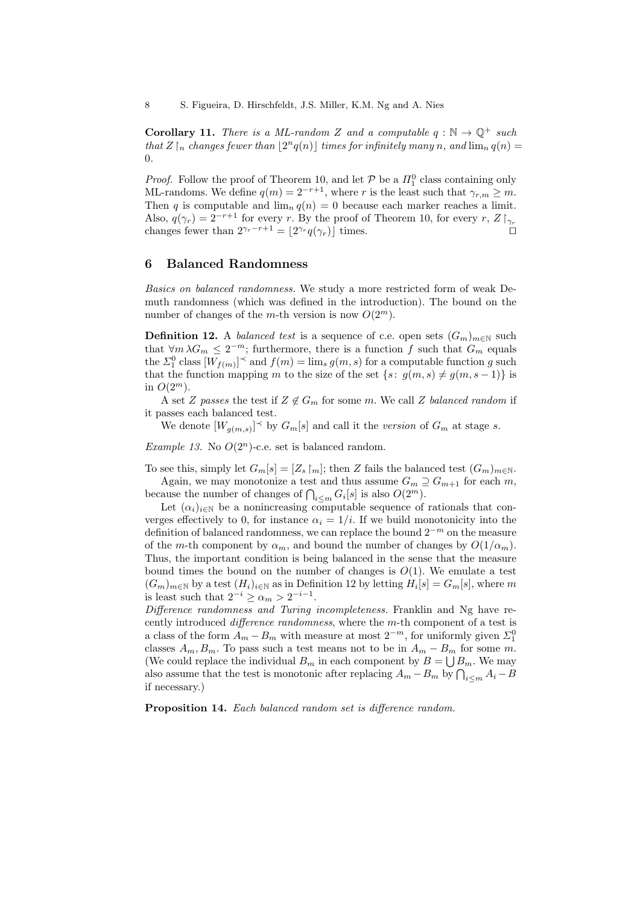**Corollary 11.** There is a ML-random Z and a computable  $q : \mathbb{N} \to \mathbb{Q}^+$  such that  $Z\vert_n$  changes fewer than  $\lfloor 2^n q(n)\rfloor$  times for infinitely many n, and  $\lim_n q(n) =$ 0.

*Proof.* Follow the proof of Theorem 10, and let  $P$  be a  $\Pi_1^0$  class containing only ML-randoms. We define  $q(m) = 2^{-r+1}$ , where r is the least such that  $\gamma_{r,m} \geq m$ . Then q is computable and  $\lim_{n} q(n) = 0$  because each marker reaches a limit. Also,  $q(\gamma_r) = 2^{-r+1}$  for every r. By the proof of Theorem 10, for every r,  $Z \upharpoonright_{\gamma_r}$ changes fewer than  $2^{\gamma_r-r+1} = \lfloor 2^{\gamma_r} q(\gamma_r) \rfloor$  times.

#### 6 Balanced Randomness

Basics on balanced randomness. We study a more restricted form of weak Demuth randomness (which was defined in the introduction). The bound on the number of changes of the m-th version is now  $O(2^m)$ .

**Definition 12.** A *balanced test* is a sequence of c.e. open sets  $(G_m)_{m\in\mathbb{N}}$  such that  $\forall m \lambda G_m \leq 2^{-m}$ ; furthermore, there is a function f such that  $G_m$  equals the  $\Sigma_1^0$  class  $[W_{f(m)}]^\prec$  and  $f(m) = \lim_s g(m, s)$  for a computable function g such that the function mapping m to the size of the set  $\{s: g(m, s) \neq g(m, s - 1)\}\$ is in  $O(2^m)$ .

A set Z passes the test if  $Z \notin G_m$  for some m. We call Z balanced random if it passes each balanced test.

We denote  $[W_{g(m,s)}]^\prec$  by  $G_m[s]$  and call it the version of  $G_m$  at stage s.

Example 13. No  $O(2^n)$ -c.e. set is balanced random.

To see this, simply let  $G_m[s] = [Z_s \upharpoonright m]$ ; then Z fails the balanced test  $(G_m)_{m \in \mathbb{N}}$ . Again, we may monotonize a test and thus assume  $G_m \supseteq G_{m+1}$  for each m, because the number of changes of  $\bigcap_{i \leq m} G_i[s]$  is also  $O(2^m)$ .

Let  $(\alpha_i)_{i\in\mathbb{N}}$  be a nonincreasing computable sequence of rationals that converges effectively to 0, for instance  $\alpha_i = 1/i$ . If we build monotonicity into the definition of balanced randomness, we can replace the bound  $2^{-m}$  on the measure of the m-th component by  $\alpha_m$ , and bound the number of changes by  $O(1/\alpha_m)$ . Thus, the important condition is being balanced in the sense that the measure bound times the bound on the number of changes is  $O(1)$ . We emulate a test  $(G_m)_{m\in\mathbb{N}}$  by a test  $(H_i)_{i\in\mathbb{N}}$  as in Definition 12 by letting  $H_i[s] = G_m[s]$ , where m is least such that  $2^{-i} \ge \alpha_m > 2^{-i-1}$ .

Difference randomness and Turing incompleteness. Franklin and Ng have recently introduced difference randomness, where the m-th component of a test is a class of the form  $A_m - B_m$  with measure at most  $2^{-m}$ , for uniformly given  $\Sigma_1^0$ classes  $A_m$ ,  $B_m$ . To pass such a test means not to be in  $A_m - B_m$  for some m. (We could replace the individual  $B_m$  in each component by  $B = \bigcup B_m$ . We may also assume that the test is monotonic after replacing  $A_m - B_m$  by  $\bigcap_{i \le m} A_i - B_m$ if necessary.)

Proposition 14. Each balanced random set is difference random.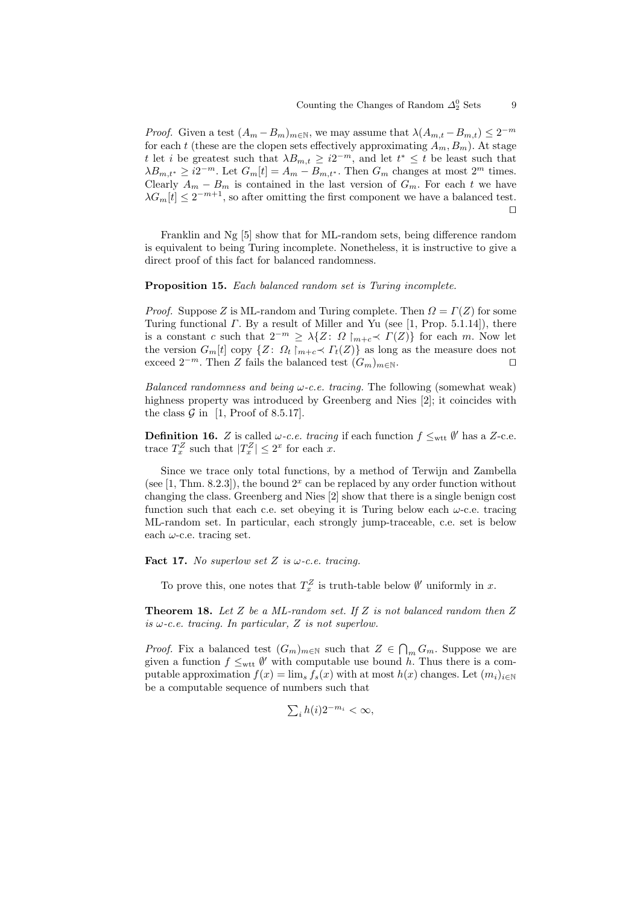*Proof.* Given a test  $(A_m - B_m)_{m \in \mathbb{N}}$ , we may assume that  $\lambda(A_{m,t} - B_{m,t}) \leq 2^{-m}$ for each t (these are the clopen sets effectively approximating  $A_m, B_m$ ). At stage t let i be greatest such that  $\lambda B_{m,t} \geq i2^{-m}$ , and let  $t^* \leq t$  be least such that  $\lambda B_{m,t^*} \geq i2^{-m}$ . Let  $G_m[t] = A_m - B_{m,t^*}$ . Then  $G_m$  changes at most  $2^m$  times. Clearly  $A_m - B_m$  is contained in the last version of  $G_m$ . For each t we have  $\lambda G_m[t] \leq 2^{-m+1}$ , so after omitting the first component we have a balanced test.  $\Box$ 

Franklin and Ng [5] show that for ML-random sets, being difference random is equivalent to being Turing incomplete. Nonetheless, it is instructive to give a direct proof of this fact for balanced randomness.

Proposition 15. Each balanced random set is Turing incomplete.

*Proof.* Suppose Z is ML-random and Turing complete. Then  $\Omega = \Gamma(Z)$  for some Turing functional  $\Gamma$ . By a result of Miller and Yu (see [1, Prop. 5.1.14]), there is a constant c such that  $2^{-m} \geq \lambda \{Z: \Omega \mid_{m+c} \prec \Gamma(Z) \}$  for each m. Now let the version  $G_m[t]$  copy  $\{Z: \Omega_t \mid_{m+c} \prec \Gamma_t(Z)\}$  as long as the measure does not exceed  $2^{-m}$ . Then Z fails the balanced test  $(G_m)_{m\in\mathbb{N}}$ .

Balanced randomness and being  $\omega$ -c.e. tracing. The following (somewhat weak) highness property was introduced by Greenberg and Nies [2]; it coincides with the class  $\mathcal G$  in [1, Proof of 8.5.17].

**Definition 16.** Z is called  $\omega$ -c.e. tracing if each function  $f \leq_{\text{wtt}} \emptyset'$  has a Z-c.e. trace  $T_x^Z$  such that  $|T_x^Z| \leq 2^x$  for each x.

Since we trace only total functions, by a method of Terwijn and Zambella (see [1, Thm. 8.2.3]), the bound  $2<sup>x</sup>$  can be replaced by any order function without changing the class. Greenberg and Nies [2] show that there is a single benign cost function such that each c.e. set obeying it is Turing below each  $\omega$ -c.e. tracing ML-random set. In particular, each strongly jump-traceable, c.e. set is below each  $\omega$ -c.e. tracing set.

Fact 17. No superlow set Z is  $\omega$ -c.e. tracing.

To prove this, one notes that  $T_x^Z$  is truth-table below  $\emptyset'$  uniformly in x.

**Theorem 18.** Let Z be a ML-random set. If Z is not balanced random then  $Z$ is  $\omega$ -c.e. tracing. In particular, Z is not superlow.

*Proof.* Fix a balanced test  $(G_m)_{m \in \mathbb{N}}$  such that  $Z \in \bigcap_m G_m$ . Suppose we are given a function  $f \leq_{\text{wtt}} \emptyset'$  with computable use bound h. Thus there is a computable approximation  $f(x) = \lim_{s} f_s(x)$  with at most  $h(x)$  changes. Let  $(m_i)_{i \in \mathbb{N}}$ be a computable sequence of numbers such that

$$
\textstyle\sum_i h(i) 2^{-m_i} < \infty,
$$